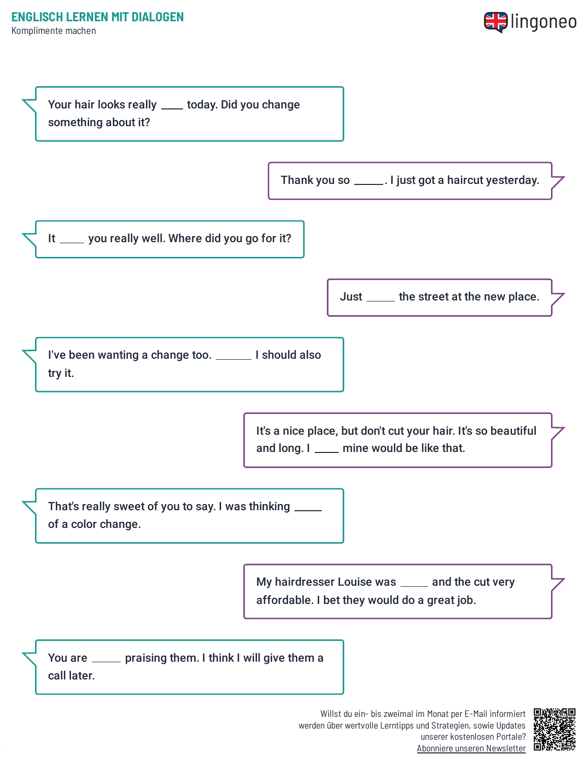



werden über wertvolle Lerntipps und Strategien, sowie Updates unserer kostenlosen Portale? Abonniere unseren [Newsletter](https://www.lingoneo.org/englisch-lernen?channel=emailcampaignnewsletter&tcontent=so-m-27&tsource=srt_source)